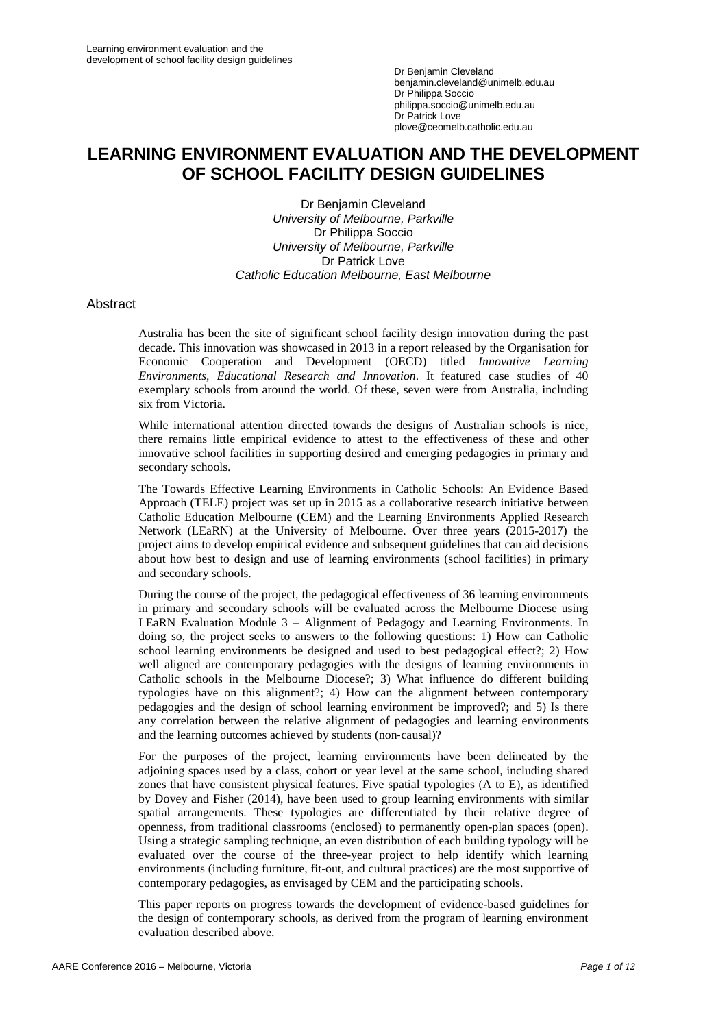# **LEARNING ENVIRONMENT EVALUATION AND THE DEVELOPMENT OF SCHOOL FACILITY DESIGN GUIDELINES**

Dr Benjamin Cleveland *University of Melbourne, Parkville* Dr Philippa Soccio *University of Melbourne, Parkville* Dr Patrick Love *Catholic Education Melbourne, East Melbourne*

#### Abstract

Australia has been the site of significant school facility design innovation during the past decade. This innovation was showcased in 2013 in a report released by the Organisation for Economic Cooperation and Development (OECD) titled *Innovative Learning Environments, Educational Research and Innovation*. It featured case studies of 40 exemplary schools from around the world. Of these, seven were from Australia, including six from Victoria.

While international attention directed towards the designs of Australian schools is nice, there remains little empirical evidence to attest to the effectiveness of these and other innovative school facilities in supporting desired and emerging pedagogies in primary and secondary schools.

The Towards Effective Learning Environments in Catholic Schools: An Evidence Based Approach (TELE) project was set up in 2015 as a collaborative research initiative between Catholic Education Melbourne (CEM) and the Learning Environments Applied Research Network (LEaRN) at the University of Melbourne. Over three years (2015-2017) the project aims to develop empirical evidence and subsequent guidelines that can aid decisions about how best to design and use of learning environments (school facilities) in primary and secondary schools.

During the course of the project, the pedagogical effectiveness of 36 learning environments in primary and secondary schools will be evaluated across the Melbourne Diocese using LEaRN Evaluation Module 3 – Alignment of Pedagogy and Learning Environments. In doing so, the project seeks to answers to the following questions: 1) How can Catholic school learning environments be designed and used to best pedagogical effect?; 2) How well aligned are contemporary pedagogies with the designs of learning environments in Catholic schools in the Melbourne Diocese?; 3) What influence do different building typologies have on this alignment?; 4) How can the alignment between contemporary pedagogies and the design of school learning environment be improved?; and 5) Is there any correlation between the relative alignment of pedagogies and learning environments and the learning outcomes achieved by students (non-causal)?

For the purposes of the project, learning environments have been delineated by the adjoining spaces used by a class, cohort or year level at the same school, including shared zones that have consistent physical features. Five spatial typologies (A to E), as identified by Dovey and Fisher (2014), have been used to group learning environments with similar spatial arrangements. These typologies are differentiated by their relative degree of openness, from traditional classrooms (enclosed) to permanently open-plan spaces (open). Using a strategic sampling technique, an even distribution of each building typology will be evaluated over the course of the three-year project to help identify which learning environments (including furniture, fit-out, and cultural practices) are the most supportive of contemporary pedagogies, as envisaged by CEM and the participating schools.

This paper reports on progress towards the development of evidence-based guidelines for the design of contemporary schools, as derived from the program of learning environment evaluation described above.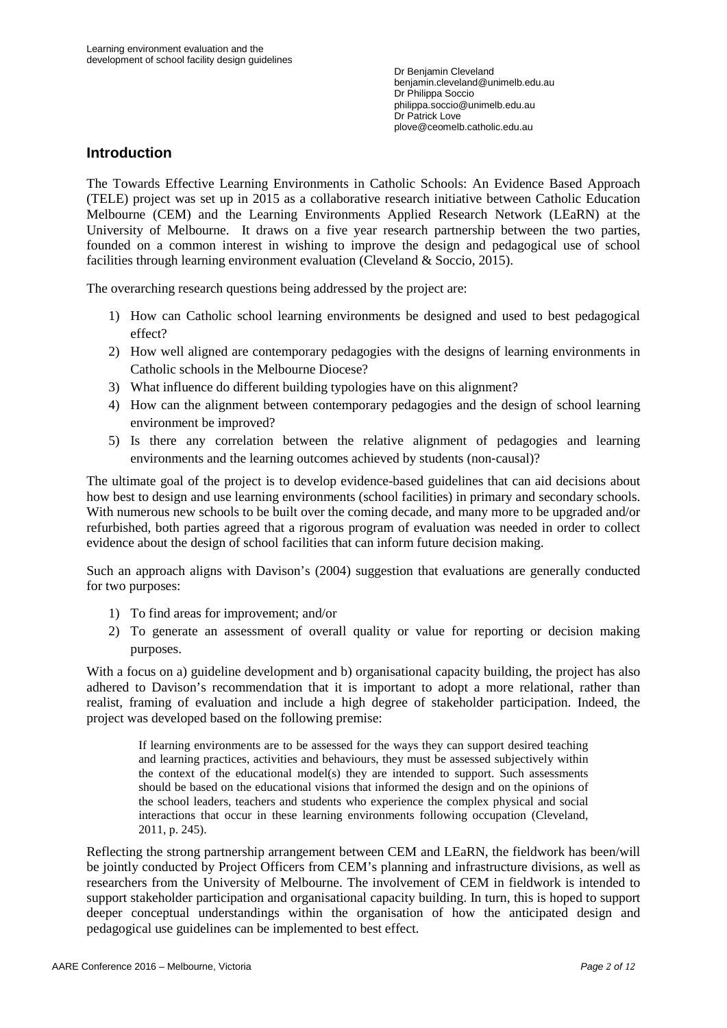## **Introduction**

The Towards Effective Learning Environments in Catholic Schools: An Evidence Based Approach (TELE) project was set up in 2015 as a collaborative research initiative between Catholic Education Melbourne (CEM) and the Learning Environments Applied Research Network (LEaRN) at the University of Melbourne. It draws on a five year research partnership between the two parties, founded on a common interest in wishing to improve the design and pedagogical use of school facilities through learning environment evaluation (Cleveland & Soccio, 2015).

The overarching research questions being addressed by the project are:

- 1) How can Catholic school learning environments be designed and used to best pedagogical effect?
- 2) How well aligned are contemporary pedagogies with the designs of learning environments in Catholic schools in the Melbourne Diocese?
- 3) What influence do different building typologies have on this alignment?
- 4) How can the alignment between contemporary pedagogies and the design of school learning environment be improved?
- 5) Is there any correlation between the relative alignment of pedagogies and learning environments and the learning outcomes achieved by students (non-causal)?

The ultimate goal of the project is to develop evidence-based guidelines that can aid decisions about how best to design and use learning environments (school facilities) in primary and secondary schools. With numerous new schools to be built over the coming decade, and many more to be upgraded and/or refurbished, both parties agreed that a rigorous program of evaluation was needed in order to collect evidence about the design of school facilities that can inform future decision making.

Such an approach aligns with Davison's (2004) suggestion that evaluations are generally conducted for two purposes:

- 1) To find areas for improvement; and/or
- 2) To generate an assessment of overall quality or value for reporting or decision making purposes.

With a focus on a) guideline development and b) organisational capacity building, the project has also adhered to Davison's recommendation that it is important to adopt a more relational, rather than realist, framing of evaluation and include a high degree of stakeholder participation. Indeed, the project was developed based on the following premise:

If learning environments are to be assessed for the ways they can support desired teaching and learning practices, activities and behaviours, they must be assessed subjectively within the context of the educational model(s) they are intended to support. Such assessments should be based on the educational visions that informed the design and on the opinions of the school leaders, teachers and students who experience the complex physical and social interactions that occur in these learning environments following occupation (Cleveland, 2011, p. 245).

Reflecting the strong partnership arrangement between CEM and LEaRN, the fieldwork has been/will be jointly conducted by Project Officers from CEM's planning and infrastructure divisions, as well as researchers from the University of Melbourne. The involvement of CEM in fieldwork is intended to support stakeholder participation and organisational capacity building. In turn, this is hoped to support deeper conceptual understandings within the organisation of how the anticipated design and pedagogical use guidelines can be implemented to best effect.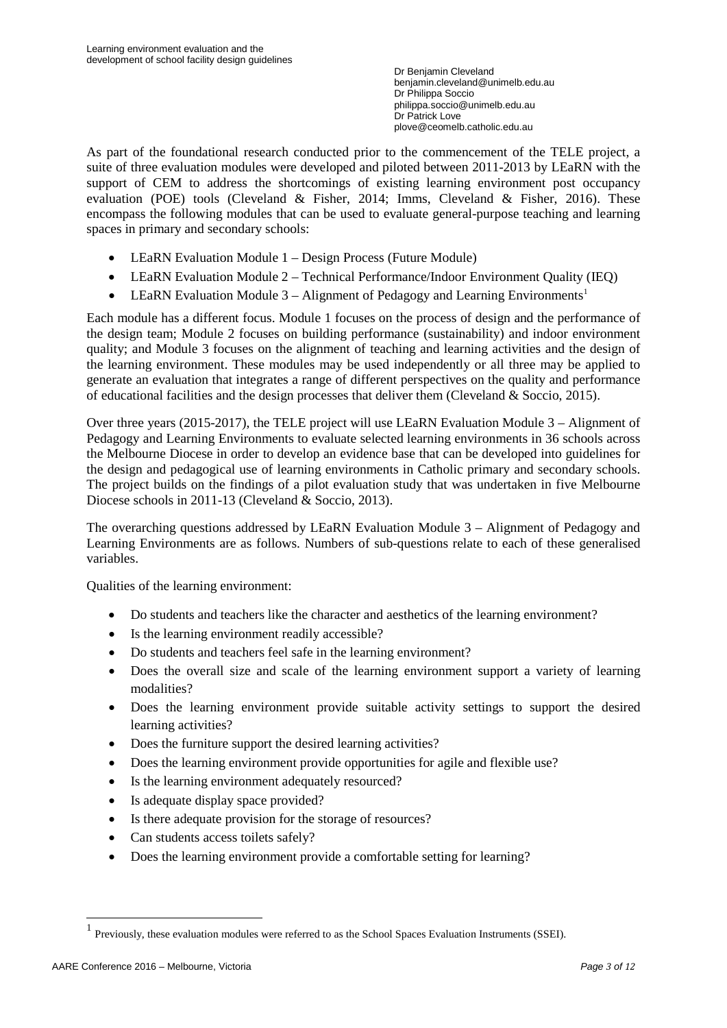As part of the foundational research conducted prior to the commencement of the TELE project, a suite of three evaluation modules were developed and piloted between 2011-2013 by LEaRN with the support of CEM to address the shortcomings of existing learning environment post occupancy evaluation (POE) tools (Cleveland & Fisher, 2014; Imms, Cleveland & Fisher, 2016). These encompass the following modules that can be used to evaluate general-purpose teaching and learning spaces in primary and secondary schools:

- LEaRN Evaluation Module 1 Design Process (Future Module)
- LEaRN Evaluation Module 2 Technical Performance/Indoor Environment Quality (IEQ)
- LEaRN Evaluation Module  $3 -$  Alignment of Pedagogy and Learning Environments<sup>[1](#page-2-0)</sup>

Each module has a different focus. Module 1 focuses on the process of design and the performance of the design team; Module 2 focuses on building performance (sustainability) and indoor environment quality; and Module 3 focuses on the alignment of teaching and learning activities and the design of the learning environment. These modules may be used independently or all three may be applied to generate an evaluation that integrates a range of different perspectives on the quality and performance of educational facilities and the design processes that deliver them (Cleveland & Soccio, 2015).

Over three years (2015-2017), the TELE project will use LEaRN Evaluation Module 3 – Alignment of Pedagogy and Learning Environments to evaluate selected learning environments in 36 schools across the Melbourne Diocese in order to develop an evidence base that can be developed into guidelines for the design and pedagogical use of learning environments in Catholic primary and secondary schools. The project builds on the findings of a pilot evaluation study that was undertaken in five Melbourne Diocese schools in 2011-13 (Cleveland & Soccio, 2013).

The overarching questions addressed by LEaRN Evaluation Module 3 – Alignment of Pedagogy and Learning Environments are as follows. Numbers of sub-questions relate to each of these generalised variables.

Qualities of the learning environment:

- Do students and teachers like the character and aesthetics of the learning environment?
- Is the learning environment readily accessible?
- Do students and teachers feel safe in the learning environment?
- Does the overall size and scale of the learning environment support a variety of learning modalities?
- Does the learning environment provide suitable activity settings to support the desired learning activities?
- Does the furniture support the desired learning activities?
- Does the learning environment provide opportunities for agile and flexible use?
- Is the learning environment adequately resourced?
- Is adequate display space provided?
- Is there adequate provision for the storage of resources?
- Can students access toilets safely?
- Does the learning environment provide a comfortable setting for learning?

<span id="page-2-0"></span><sup>1</sup> Previously, these evaluation modules were referred to as the School Spaces Evaluation Instruments (SSEI).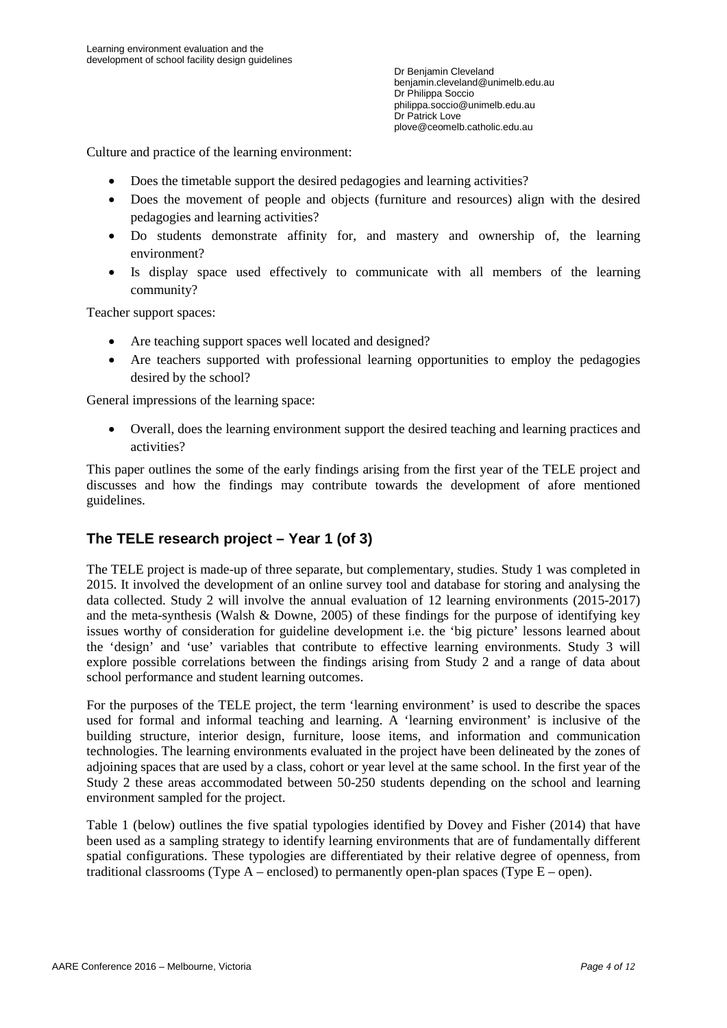Culture and practice of the learning environment:

- Does the timetable support the desired pedagogies and learning activities?
- Does the movement of people and objects (furniture and resources) align with the desired pedagogies and learning activities?
- Do students demonstrate affinity for, and mastery and ownership of, the learning environment?
- Is display space used effectively to communicate with all members of the learning community?

Teacher support spaces:

- Are teaching support spaces well located and designed?
- Are teachers supported with professional learning opportunities to employ the pedagogies desired by the school?

General impressions of the learning space:

• Overall, does the learning environment support the desired teaching and learning practices and activities?

This paper outlines the some of the early findings arising from the first year of the TELE project and discusses and how the findings may contribute towards the development of afore mentioned guidelines.

## **The TELE research project – Year 1 (of 3)**

The TELE project is made-up of three separate, but complementary, studies. Study 1 was completed in 2015. It involved the development of an online survey tool and database for storing and analysing the data collected. Study 2 will involve the annual evaluation of 12 learning environments (2015-2017) and the meta-synthesis (Walsh & Downe, 2005) of these findings for the purpose of identifying key issues worthy of consideration for guideline development i.e. the 'big picture' lessons learned about the 'design' and 'use' variables that contribute to effective learning environments. Study 3 will explore possible correlations between the findings arising from Study 2 and a range of data about school performance and student learning outcomes.

For the purposes of the TELE project, the term 'learning environment' is used to describe the spaces used for formal and informal teaching and learning. A 'learning environment' is inclusive of the building structure, interior design, furniture, loose items, and information and communication technologies. The learning environments evaluated in the project have been delineated by the zones of adjoining spaces that are used by a class, cohort or year level at the same school. In the first year of the Study 2 these areas accommodated between 50-250 students depending on the school and learning environment sampled for the project.

Table 1 (below) outlines the five spatial typologies identified by Dovey and Fisher (2014) that have been used as a sampling strategy to identify learning environments that are of fundamentally different spatial configurations. These typologies are differentiated by their relative degree of openness, from traditional classrooms (Type  $A$  – enclosed) to permanently open-plan spaces (Type  $E$  – open).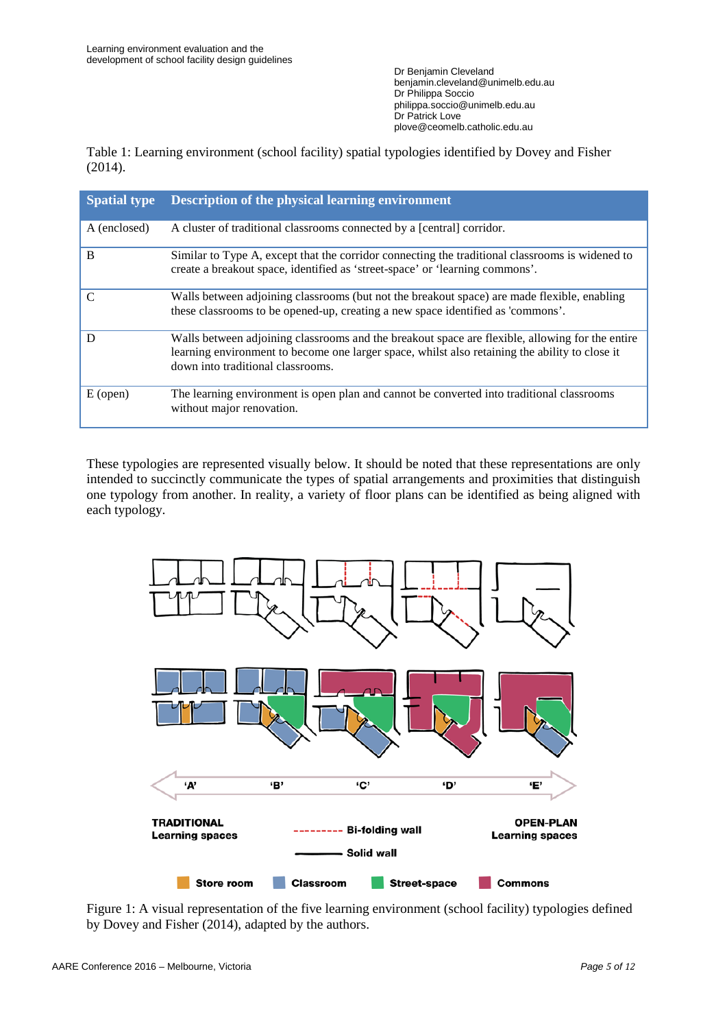Table 1: Learning environment (school facility) spatial typologies identified by Dovey and Fisher (2014).

| <b>Spatial type</b> | <b>Description of the physical learning environment</b>                                                                                                                                                                                |
|---------------------|----------------------------------------------------------------------------------------------------------------------------------------------------------------------------------------------------------------------------------------|
| A (enclosed)        | A cluster of traditional classrooms connected by a [central] corridor.                                                                                                                                                                 |
| B                   | Similar to Type A, except that the corridor connecting the traditional classrooms is widened to<br>create a breakout space, identified as 'street-space' or 'learning commons'.                                                        |
| $\mathcal{C}$       | Walls between adjoining classrooms (but not the breakout space) are made flexible, enabling<br>these classrooms to be opened-up, creating a new space identified as 'commons'.                                                         |
| D                   | Walls between adjoining classrooms and the breakout space are flexible, allowing for the entire<br>learning environment to become one larger space, whilst also retaining the ability to close it<br>down into traditional classrooms. |
| $E$ (open)          | The learning environment is open plan and cannot be converted into traditional classrooms<br>without major renovation.                                                                                                                 |

These typologies are represented visually below. It should be noted that these representations are only intended to succinctly communicate the types of spatial arrangements and proximities that distinguish one typology from another. In reality, a variety of floor plans can be identified as being aligned with each typology.



Figure 1: A visual representation of the five learning environment (school facility) typologies defined by Dovey and Fisher (2014), adapted by the authors.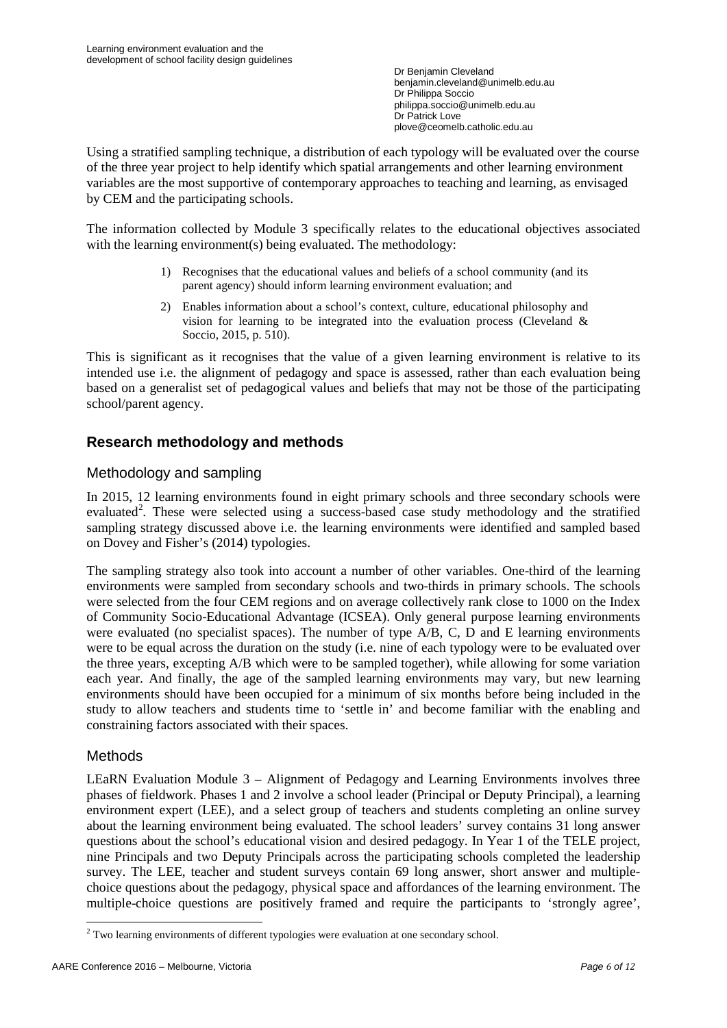Using a stratified sampling technique, a distribution of each typology will be evaluated over the course of the three year project to help identify which spatial arrangements and other learning environment variables are the most supportive of contemporary approaches to teaching and learning, as envisaged by CEM and the participating schools.

The information collected by Module 3 specifically relates to the educational objectives associated with the learning environment(s) being evaluated. The methodology:

- 1) Recognises that the educational values and beliefs of a school community (and its parent agency) should inform learning environment evaluation; and
- 2) Enables information about a school's context, culture, educational philosophy and vision for learning to be integrated into the evaluation process (Cleveland  $\&$ Soccio, 2015, p. 510).

This is significant as it recognises that the value of a given learning environment is relative to its intended use i.e. the alignment of pedagogy and space is assessed, rather than each evaluation being based on a generalist set of pedagogical values and beliefs that may not be those of the participating school/parent agency.

# **Research methodology and methods**

## Methodology and sampling

In 2015, 12 learning environments found in eight primary schools and three secondary schools were evaluated<sup>[2](#page-5-0)</sup>. These were selected using a success-based case study methodology and the stratified sampling strategy discussed above i.e. the learning environments were identified and sampled based on Dovey and Fisher's (2014) typologies.

The sampling strategy also took into account a number of other variables. One-third of the learning environments were sampled from secondary schools and two-thirds in primary schools. The schools were selected from the four CEM regions and on average collectively rank close to 1000 on the Index of Community Socio-Educational Advantage (ICSEA). Only general purpose learning environments were evaluated (no specialist spaces). The number of type A/B, C, D and E learning environments were to be equal across the duration on the study (i.e. nine of each typology were to be evaluated over the three years, excepting A/B which were to be sampled together), while allowing for some variation each year. And finally, the age of the sampled learning environments may vary, but new learning environments should have been occupied for a minimum of six months before being included in the study to allow teachers and students time to 'settle in' and become familiar with the enabling and constraining factors associated with their spaces.

### Methods

LEaRN Evaluation Module 3 – Alignment of Pedagogy and Learning Environments involves three phases of fieldwork. Phases 1 and 2 involve a school leader (Principal or Deputy Principal), a learning environment expert (LEE), and a select group of teachers and students completing an online survey about the learning environment being evaluated. The school leaders' survey contains 31 long answer questions about the school's educational vision and desired pedagogy. In Year 1 of the TELE project, nine Principals and two Deputy Principals across the participating schools completed the leadership survey. The LEE, teacher and student surveys contain 69 long answer, short answer and multiplechoice questions about the pedagogy, physical space and affordances of the learning environment. The multiple-choice questions are positively framed and require the participants to 'strongly agree',

<span id="page-5-0"></span><sup>&</sup>lt;sup>2</sup> Two learning environments of different typologies were evaluation at one secondary school.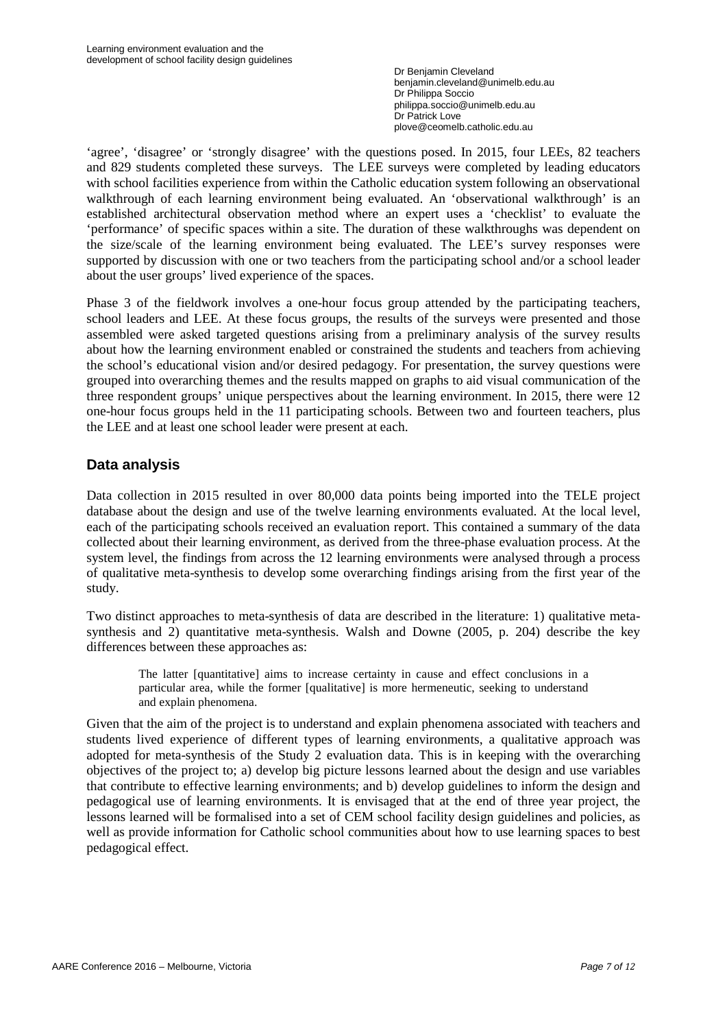'agree', 'disagree' or 'strongly disagree' with the questions posed. In 2015, four LEEs, 82 teachers and 829 students completed these surveys. The LEE surveys were completed by leading educators with school facilities experience from within the Catholic education system following an observational walkthrough of each learning environment being evaluated. An 'observational walkthrough' is an established architectural observation method where an expert uses a 'checklist' to evaluate the 'performance' of specific spaces within a site. The duration of these walkthroughs was dependent on the size/scale of the learning environment being evaluated. The LEE's survey responses were supported by discussion with one or two teachers from the participating school and/or a school leader about the user groups' lived experience of the spaces.

Phase 3 of the fieldwork involves a one-hour focus group attended by the participating teachers, school leaders and LEE. At these focus groups, the results of the surveys were presented and those assembled were asked targeted questions arising from a preliminary analysis of the survey results about how the learning environment enabled or constrained the students and teachers from achieving the school's educational vision and/or desired pedagogy. For presentation, the survey questions were grouped into overarching themes and the results mapped on graphs to aid visual communication of the three respondent groups' unique perspectives about the learning environment. In 2015, there were 12 one-hour focus groups held in the 11 participating schools. Between two and fourteen teachers, plus the LEE and at least one school leader were present at each.

## **Data analysis**

Data collection in 2015 resulted in over 80,000 data points being imported into the TELE project database about the design and use of the twelve learning environments evaluated. At the local level, each of the participating schools received an evaluation report. This contained a summary of the data collected about their learning environment, as derived from the three-phase evaluation process. At the system level, the findings from across the 12 learning environments were analysed through a process of qualitative meta-synthesis to develop some overarching findings arising from the first year of the study.

Two distinct approaches to meta-synthesis of data are described in the literature: 1) qualitative metasynthesis and 2) quantitative meta-synthesis. Walsh and Downe (2005, p. 204) describe the key differences between these approaches as:

The latter [quantitative] aims to increase certainty in cause and effect conclusions in a particular area, while the former [qualitative] is more hermeneutic, seeking to understand and explain phenomena.

Given that the aim of the project is to understand and explain phenomena associated with teachers and students lived experience of different types of learning environments, a qualitative approach was adopted for meta-synthesis of the Study 2 evaluation data. This is in keeping with the overarching objectives of the project to; a) develop big picture lessons learned about the design and use variables that contribute to effective learning environments; and b) develop guidelines to inform the design and pedagogical use of learning environments. It is envisaged that at the end of three year project, the lessons learned will be formalised into a set of CEM school facility design guidelines and policies, as well as provide information for Catholic school communities about how to use learning spaces to best pedagogical effect.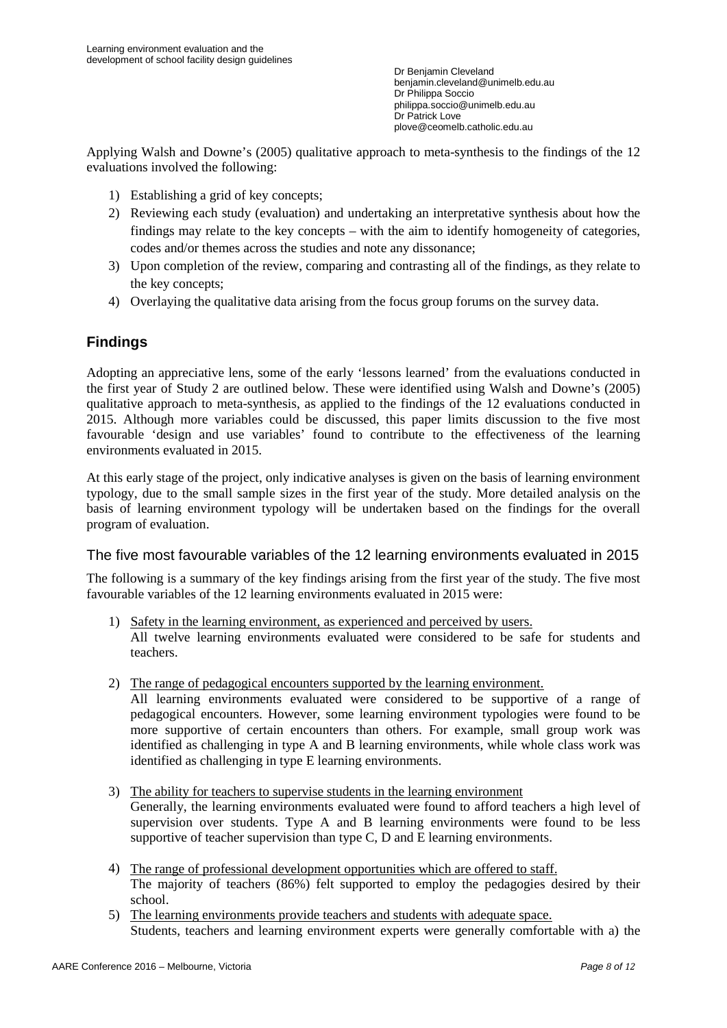Applying Walsh and Downe's (2005) qualitative approach to meta-synthesis to the findings of the 12 evaluations involved the following:

- 1) Establishing a grid of key concepts;
- 2) Reviewing each study (evaluation) and undertaking an interpretative synthesis about how the findings may relate to the key concepts – with the aim to identify homogeneity of categories, codes and/or themes across the studies and note any dissonance;
- 3) Upon completion of the review, comparing and contrasting all of the findings, as they relate to the key concepts;
- 4) Overlaying the qualitative data arising from the focus group forums on the survey data.

## **Findings**

Adopting an appreciative lens, some of the early 'lessons learned' from the evaluations conducted in the first year of Study 2 are outlined below. These were identified using Walsh and Downe's (2005) qualitative approach to meta-synthesis, as applied to the findings of the 12 evaluations conducted in 2015. Although more variables could be discussed, this paper limits discussion to the five most favourable 'design and use variables' found to contribute to the effectiveness of the learning environments evaluated in 2015.

At this early stage of the project, only indicative analyses is given on the basis of learning environment typology, due to the small sample sizes in the first year of the study. More detailed analysis on the basis of learning environment typology will be undertaken based on the findings for the overall program of evaluation.

#### The five most favourable variables of the 12 learning environments evaluated in 2015

The following is a summary of the key findings arising from the first year of the study. The five most favourable variables of the 12 learning environments evaluated in 2015 were:

- 1) Safety in the learning environment, as experienced and perceived by users. All twelve learning environments evaluated were considered to be safe for students and teachers.
- 2) The range of pedagogical encounters supported by the learning environment.

All learning environments evaluated were considered to be supportive of a range of pedagogical encounters. However, some learning environment typologies were found to be more supportive of certain encounters than others. For example, small group work was identified as challenging in type A and B learning environments, while whole class work was identified as challenging in type E learning environments.

- 3) The ability for teachers to supervise students in the learning environment Generally, the learning environments evaluated were found to afford teachers a high level of supervision over students. Type A and B learning environments were found to be less supportive of teacher supervision than type C, D and E learning environments.
- 4) The range of professional development opportunities which are offered to staff. The majority of teachers (86%) felt supported to employ the pedagogies desired by their school.
- 5) The learning environments provide teachers and students with adequate space. Students, teachers and learning environment experts were generally comfortable with a) the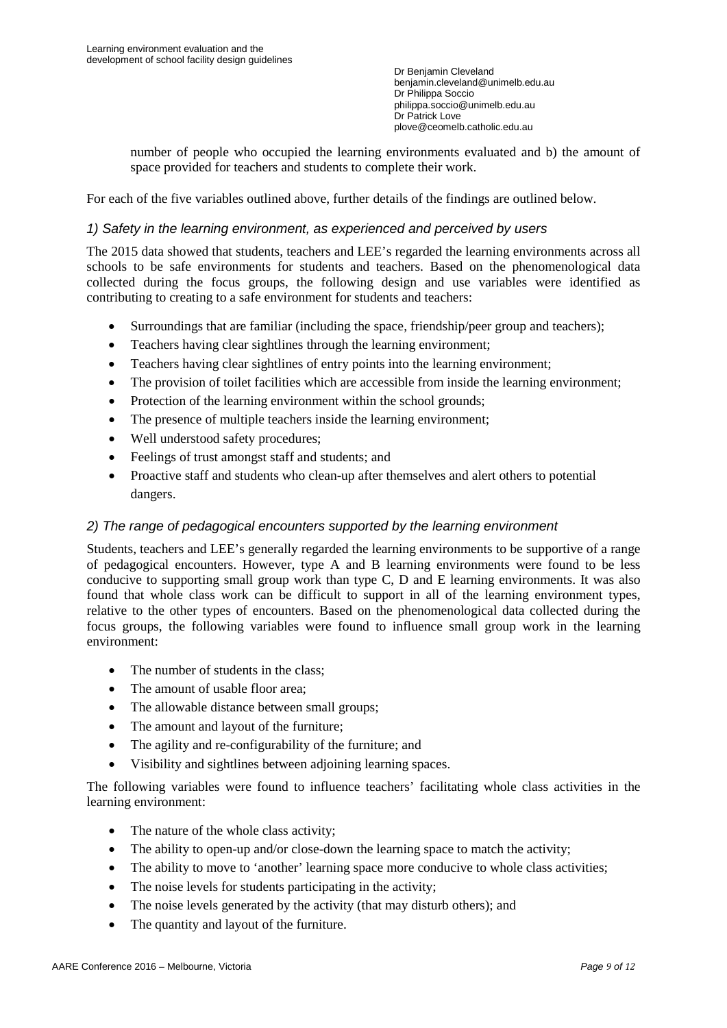number of people who occupied the learning environments evaluated and b) the amount of space provided for teachers and students to complete their work.

For each of the five variables outlined above, further details of the findings are outlined below.

#### *1) Safety in the learning environment, as experienced and perceived by users*

The 2015 data showed that students, teachers and LEE's regarded the learning environments across all schools to be safe environments for students and teachers. Based on the phenomenological data collected during the focus groups, the following design and use variables were identified as contributing to creating to a safe environment for students and teachers:

- Surroundings that are familiar (including the space, friendship/peer group and teachers);
- Teachers having clear sightlines through the learning environment;
- Teachers having clear sightlines of entry points into the learning environment;
- The provision of toilet facilities which are accessible from inside the learning environment;
- Protection of the learning environment within the school grounds;
- The presence of multiple teachers inside the learning environment;
- Well understood safety procedures;
- Feelings of trust amongst staff and students; and
- Proactive staff and students who clean-up after themselves and alert others to potential dangers.

#### *2) The range of pedagogical encounters supported by the learning environment*

Students, teachers and LEE's generally regarded the learning environments to be supportive of a range of pedagogical encounters. However, type A and B learning environments were found to be less conducive to supporting small group work than type C, D and E learning environments. It was also found that whole class work can be difficult to support in all of the learning environment types, relative to the other types of encounters. Based on the phenomenological data collected during the focus groups, the following variables were found to influence small group work in the learning environment:

- The number of students in the class;
- The amount of usable floor area:
- The allowable distance between small groups;
- The amount and layout of the furniture;
- The agility and re-configurability of the furniture; and
- Visibility and sightlines between adjoining learning spaces.

The following variables were found to influence teachers' facilitating whole class activities in the learning environment:

- The nature of the whole class activity;
- The ability to open-up and/or close-down the learning space to match the activity;
- The ability to move to 'another' learning space more conducive to whole class activities;
- The noise levels for students participating in the activity;
- The noise levels generated by the activity (that may disturb others); and
- The quantity and layout of the furniture.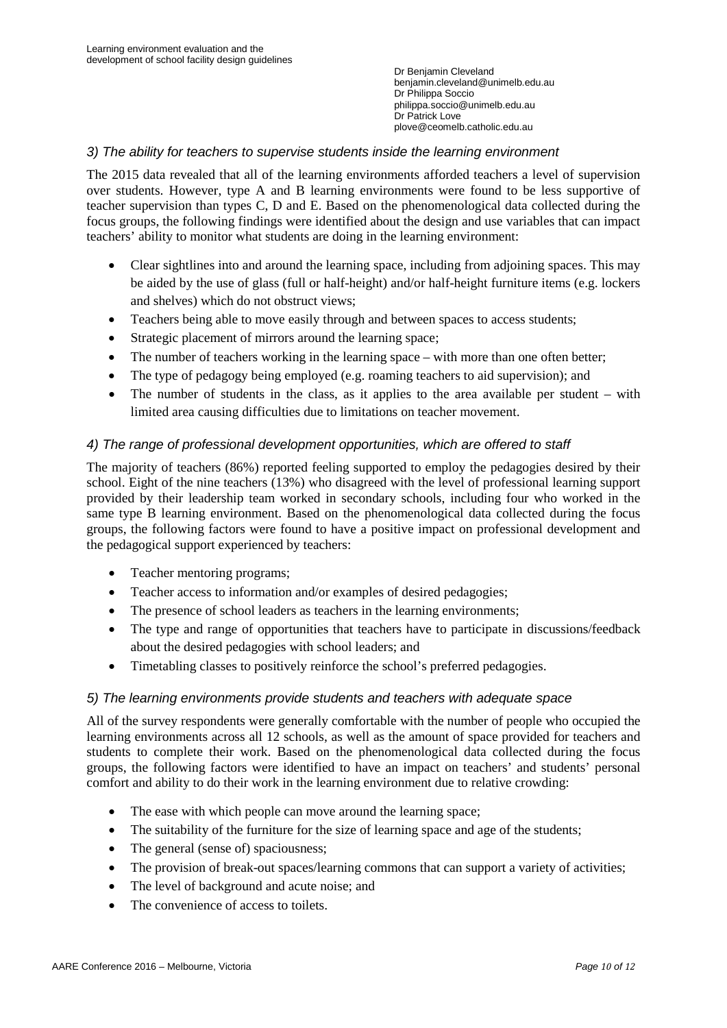### *3) The ability for teachers to supervise students inside the learning environment*

The 2015 data revealed that all of the learning environments afforded teachers a level of supervision over students. However, type A and B learning environments were found to be less supportive of teacher supervision than types C, D and E. Based on the phenomenological data collected during the focus groups, the following findings were identified about the design and use variables that can impact teachers' ability to monitor what students are doing in the learning environment:

- Clear sightlines into and around the learning space, including from adjoining spaces. This may be aided by the use of glass (full or half-height) and/or half-height furniture items (e.g. lockers and shelves) which do not obstruct views;
- Teachers being able to move easily through and between spaces to access students;
- Strategic placement of mirrors around the learning space;
- The number of teachers working in the learning space with more than one often better;
- The type of pedagogy being employed (e.g. roaming teachers to aid supervision); and
- The number of students in the class, as it applies to the area available per student with limited area causing difficulties due to limitations on teacher movement.

### *4) The range of professional development opportunities, which are offered to staff*

The majority of teachers (86%) reported feeling supported to employ the pedagogies desired by their school. Eight of the nine teachers (13%) who disagreed with the level of professional learning support provided by their leadership team worked in secondary schools, including four who worked in the same type B learning environment. Based on the phenomenological data collected during the focus groups, the following factors were found to have a positive impact on professional development and the pedagogical support experienced by teachers:

- Teacher mentoring programs;
- Teacher access to information and/or examples of desired pedagogies;
- The presence of school leaders as teachers in the learning environments;
- The type and range of opportunities that teachers have to participate in discussions/feedback about the desired pedagogies with school leaders; and
- Timetabling classes to positively reinforce the school's preferred pedagogies.

#### *5) The learning environments provide students and teachers with adequate space*

All of the survey respondents were generally comfortable with the number of people who occupied the learning environments across all 12 schools, as well as the amount of space provided for teachers and students to complete their work. Based on the phenomenological data collected during the focus groups, the following factors were identified to have an impact on teachers' and students' personal comfort and ability to do their work in the learning environment due to relative crowding:

- The ease with which people can move around the learning space;
- The suitability of the furniture for the size of learning space and age of the students;
- The general (sense of) spaciousness;
- The provision of break-out spaces/learning commons that can support a variety of activities;
- The level of background and acute noise; and
- The convenience of access to toilets.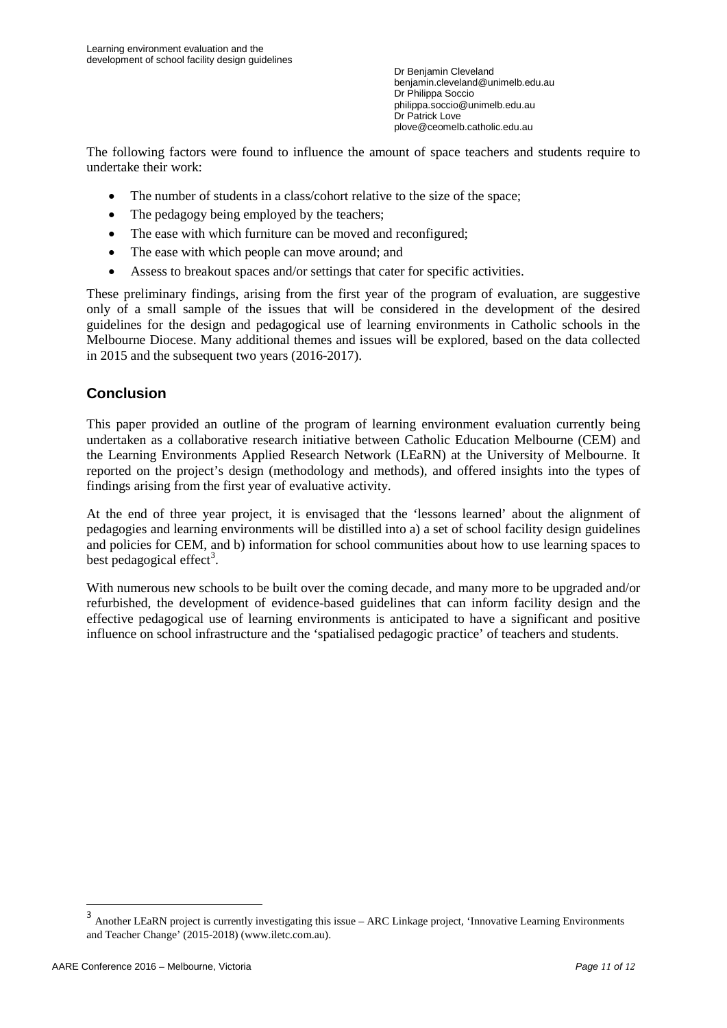The following factors were found to influence the amount of space teachers and students require to undertake their work:

- The number of students in a class/cohort relative to the size of the space;
- The pedagogy being employed by the teachers;
- The ease with which furniture can be moved and reconfigured;
- The ease with which people can move around: and
- Assess to breakout spaces and/or settings that cater for specific activities.

These preliminary findings, arising from the first year of the program of evaluation, are suggestive only of a small sample of the issues that will be considered in the development of the desired guidelines for the design and pedagogical use of learning environments in Catholic schools in the Melbourne Diocese. Many additional themes and issues will be explored, based on the data collected in 2015 and the subsequent two years (2016-2017).

## **Conclusion**

This paper provided an outline of the program of learning environment evaluation currently being undertaken as a collaborative research initiative between Catholic Education Melbourne (CEM) and the Learning Environments Applied Research Network (LEaRN) at the University of Melbourne. It reported on the project's design (methodology and methods), and offered insights into the types of findings arising from the first year of evaluative activity.

At the end of three year project, it is envisaged that the 'lessons learned' about the alignment of pedagogies and learning environments will be distilled into a) a set of school facility design guidelines and policies for CEM, and b) information for school communities about how to use learning spaces to best pedagogical effect<sup>[3](#page-10-0)</sup>.

With numerous new schools to be built over the coming decade, and many more to be upgraded and/or refurbished, the development of evidence-based guidelines that can inform facility design and the effective pedagogical use of learning environments is anticipated to have a significant and positive influence on school infrastructure and the 'spatialised pedagogic practice' of teachers and students.

<span id="page-10-0"></span><sup>3</sup> Another LEaRN project is currently investigating this issue – ARC Linkage project, 'Innovative Learning Environments and Teacher Change' (2015-2018) (www.iletc.com.au).